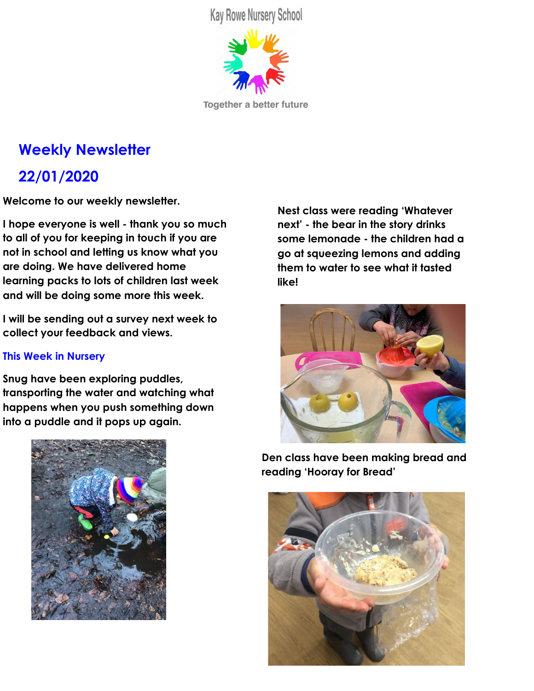**Kay Rowe Nursery School** 



Together a better future

# **Weekly Newsletter 22/01/2020**

**Welcome to our weekly newsletter.**

**I hope everyone is well - thank you so much to all of you for keeping in touch if you are not in school and letting us know what you are doing. We have delivered home learning packs to lots of children last week and will be doing some more this week.**

**I will be sending out a survey next week to collect your feedback and views.**

#### **This Week in Nursery**

**Snug have been exploring puddles, transporting the water and watching what happens when you push something down into a puddle and it pops up again.**



**Nest class were reading 'Whatever next' - the bear in the story drinks some lemonade - the children had a go at squeezing lemons and adding them to water to see what it tasted like!**



**Den class have been making bread and reading 'Hooray for Bread'**